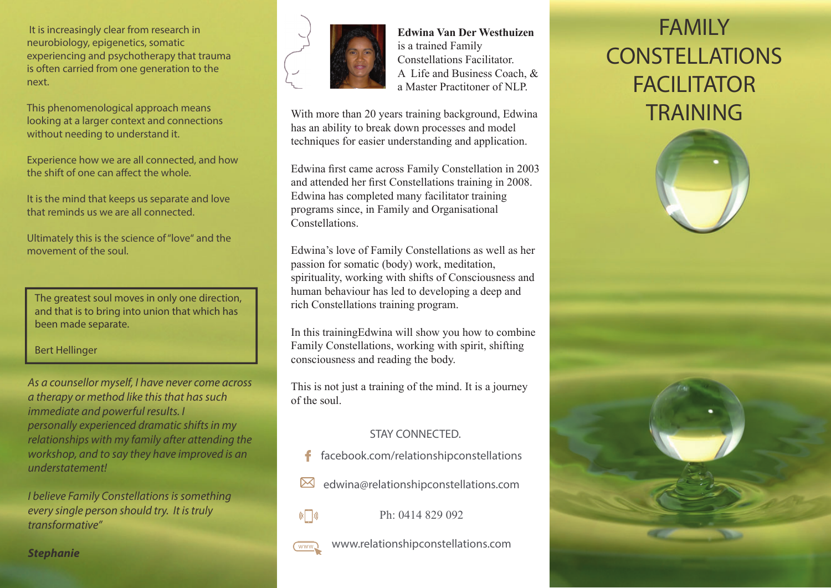It is increasingly clear from research in neurobiology, epigenetics, somatic experiencing and psychotherapy that trauma is often carried from one generation to the next.

This phenomenological approach means looking at a larger context and connections without needing to understand it.

Experience how we are all connected, and how the shift of one can affect the whole.

It is the mind that keeps us separate and love that reminds us we are all connected.

Ultimately this is the science of "love" and the movement of the soul.

The greatest soul moves in only one direction, and that is to bring into union that which has been made separate.

Bert Hellinger

As a counsellor myself, I have never come across a therapy or method like this that has such immediate and powerful results. I personally experienced dramatic shifts in my relationships with my family after attending the workshop, and to say they have improved is an understatement!

I believe Family Constellations is something every single person should try. It is truly transformative"

**Stephanie**



 **Edwina Van Der Westhuizen**  is a trained Family Constellations Facilitator. A Life and Business Coach, & a Master Practitoner of NLP.

With more than 20 years training background, Edwina has an ability to break down processes and model techniques for easier understanding and application.

Edwina first came across Family Constellation in 2003 and attended her first Constellations training in 2008. Edwina has completed many facilitator training programs since, in Family and Organisational Constellations.

Edwina's love of Family Constellations as well as her passion for somatic (body) work, meditation, spirituality, working with shifts of Consciousness and human behaviour has led to developing a deep and rich Constellations training program.

In this trainingEdwina will show you how to combine Family Constellations, working with spirit, shifting consciousness and reading the body.

This is not just a training of the mind. It is a journey of the soul.

# STAY CONNECTED.

- facebook.com/relationshipconstellations £
- edwina@relationshipconstellations.com  $\boxtimes$

Ph: 0414 829 092

 $\mathbb{C}$   $\Box$ 

www.relationshipconstellations.com www

# FAMILY CONSTELLATIONSFACILITATOR TRAINING